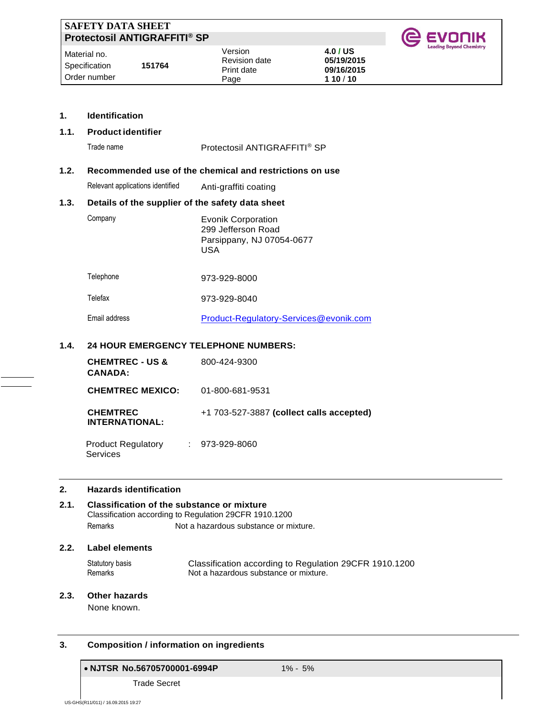| <b>SAFETY DATA SHEET</b><br>Protectosil ANTIGRAFFITI® SP |        |                                        |                                      | <b>IC EVONIK</b>                |
|----------------------------------------------------------|--------|----------------------------------------|--------------------------------------|---------------------------------|
| Material no.<br>Specification                            | 151764 | Version<br>Revision date<br>Print date | 4.0 / US<br>05/19/2015<br>09/16/2015 | <b>Leading Beyond Chemistry</b> |
| Order number                                             |        | Page                                   | 110/10                               |                                 |

# **1. Identification**

# **1.1. Product identifier**

|      | Trade name                                       | Protectosil ANTIGRAFFITI® SP                                                         |
|------|--------------------------------------------------|--------------------------------------------------------------------------------------|
| 1.2. |                                                  | Recommended use of the chemical and restrictions on use                              |
|      | Relevant applications identified                 | Anti-graffiti coating                                                                |
| 1.3. | Details of the supplier of the safety data sheet |                                                                                      |
|      | Company                                          | <b>Evonik Corporation</b><br>299 Jefferson Road<br>Parsippany, NJ 07054-0677<br>USA. |
|      | Telephone                                        | 973-929-8000                                                                         |
|      | Telefax                                          | 973-929-8040                                                                         |
|      | Email address                                    | Product-Regulatory-Services@evonik.com                                               |
| 1.4. | <b>24 HOUR EMERGENCY TELEPHONE NUMBERS:</b>      |                                                                                      |
|      |                                                  |                                                                                      |

### **1.4. 24 HOUR EMERGENCY TELEPHONE NUMBERS:**

| <b>CHEMTREC - US &amp;</b><br><b>CANADA:</b> | 800-424-9300                               |
|----------------------------------------------|--------------------------------------------|
| <b>CHEMTREC MEXICO:</b>                      | 01-800-681-9531                            |
| <b>CHEMTREC</b><br><b>INTERNATIONAL:</b>     | $+1$ 703-527-3887 (collect calls accepted) |
| <b>Product Regulatory</b><br>Services        | $: 973-929-8060$                           |

### **2. Hazards identification**

# **2.1. Classification of the substance or mixture** Classification according to Regulation 29CFR 1910.1200 Remarks Not a hazardous substance or mixture.

# **2.2. Label elements**

Statutory basis Classification according to Regulation 29CFR 1910.1200<br>Remarks Mot a hazardous substance or mixture. Not a hazardous substance or mixture.

# **2.3. Other hazards**

None known.

# **3. Composition / information on ingredients**

# • **NJTSR No.56705700001-6994P** 1% - 5%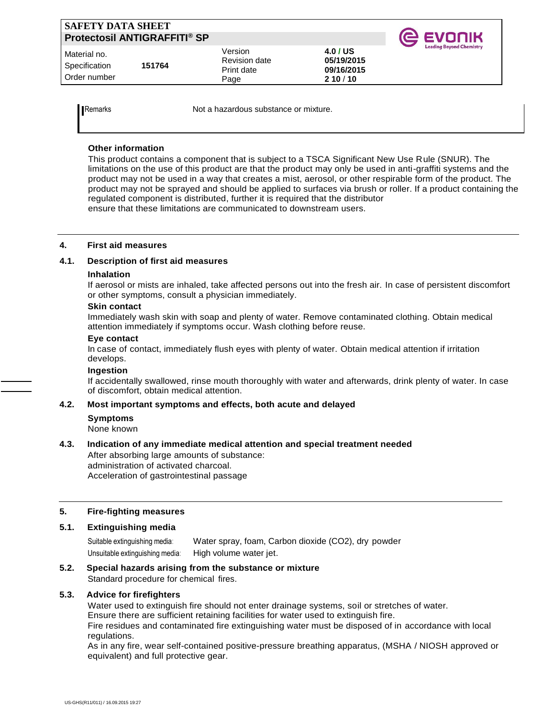| <b>SAFETY DATA SHEET</b><br><b>Protectosil ANTIGRAFFITI® SP</b> |        |                                                       |                                                | <b>@ EVONIK</b>                 |
|-----------------------------------------------------------------|--------|-------------------------------------------------------|------------------------------------------------|---------------------------------|
| l Material no.<br>Specification<br>l Order number               | 151764 | Version<br><b>Revision date</b><br>Print date<br>Page | 4.0 / US<br>05/19/2015<br>09/16/2015<br>210/10 | <b>Leading Beyond Chemistry</b> |

Remarks **Not a hazardous substance or mixture.** 

# **Other information**

This product contains a component that is subject to a TSCA Significant New Use Rule (SNUR). The limitations on the use of this product are that the product may only be used in anti-graffiti systems and the product may not be used in a way that creates a mist, aerosol, or other respirable form of the product. The product may not be sprayed and should be applied to surfaces via brush or roller. If a product containing the regulated component is distributed, further it is required that the distributor ensure that these limitations are communicated to downstream users.

### **4. First aid measures**

### **4.1. Description of first aid measures**

#### **Inhalation**

If aerosol or mists are inhaled, take affected persons out into the fresh air. In case of persistent discomfort or other symptoms, consult a physician immediately.

### **Skin contact**

Immediately wash skin with soap and plenty of water. Remove contaminated clothing. Obtain medical attention immediately if symptoms occur. Wash clothing before reuse.

#### **Eye contact**

In case of contact, immediately flush eyes with plenty of water. Obtain medical attention if irritation develops.

#### **Ingestion**

If accidentally swallowed, rinse mouth thoroughly with water and afterwards, drink plenty of water. In case of discomfort, obtain medical attention.

### **4.2. Most important symptoms and effects, both acute and delayed**

**Symptoms**

None known

# **4.3. Indication of any immediate medical attention and special treatment needed**

After absorbing large amounts of substance: administration of activated charcoal. Acceleration of gastrointestinal passage

### **5. Fire-fighting measures**

# **5.1. Extinguishing media**

Suitable extinguishing media: Water spray, foam, Carbon dioxide (CO2), dry powder Unsuitable extinguishing media: High volume water jet.

# **5.2. Special hazards arising from the substance or mixture**

Standard procedure for chemical fires.

# **5.3. Advice for firefighters**

Water used to extinguish fire should not enter drainage systems, soil or stretches of water. Ensure there are sufficient retaining facilities for water used to extinguish fire.

Fire residues and contaminated fire extinguishing water must be disposed of in accordance with local regulations.

As in any fire, wear self-contained positive-pressure breathing apparatus, (MSHA / NIOSH approved or equivalent) and full protective gear.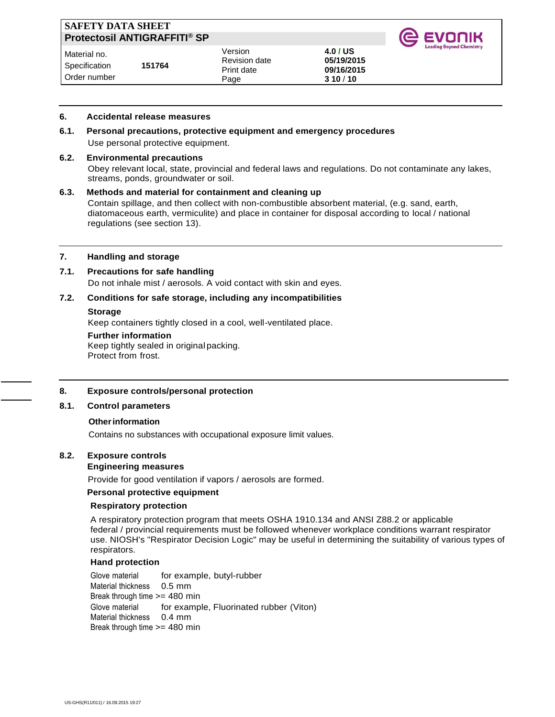| <b>SAFETY DATA SHEET</b><br>Protectosil ANTIGRAFFITI® SP |        |                                                       |                                                | <b>IG EVONIK</b>                |
|----------------------------------------------------------|--------|-------------------------------------------------------|------------------------------------------------|---------------------------------|
| Material no.<br>Specification<br>Order number            | 151764 | Version<br><b>Revision date</b><br>Print date<br>Page | 4.0 / US<br>05/19/2015<br>09/16/2015<br>310/10 | <b>Leading Beyond Chemistry</b> |

#### **6. Accidental release measures**

**6.1. Personal precautions, protective equipment and emergency procedures** Use personal protective equipment.

#### **6.2. Environmental precautions**

 Obey relevant local, state, provincial and federal laws and regulations. Do not contaminate any lakes, streams, ponds, groundwater or soil.

#### **6.3. Methods and material for containment and cleaning up**

Contain spillage, and then collect with non-combustible absorbent material, (e.g. sand, earth, diatomaceous earth, vermiculite) and place in container for disposal according to local / national regulations (see section 13).

#### **7. Handling and storage**

### **7.1. Precautions for safe handling**

Do not inhale mist / aerosols. A void contact with skin and eyes.

### **7.2. Conditions for safe storage, including any incompatibilities**

#### **Storage**

Keep containers tightly closed in a cool, well-ventilated place.

#### **Further information**

Keep tightly sealed in original packing. Protect from frost.

#### **8. Exposure controls/personal protection**

#### **8.1. Control parameters**

#### **Other information**

Contains no substances with occupational exposure limit values.

### **8.2. Exposure controls**

#### **Engineering measures**

Provide for good ventilation if vapors / aerosols are formed.

### **Personal protective equipment**

#### **Respiratory protection**

A respiratory protection program that meets OSHA 1910.134 and ANSI Z88.2 or applicable federal / provincial requirements must be followed whenever workplace conditions warrant respirator use. NIOSH's "Respirator Decision Logic" may be useful in determining the suitability of various types of respirators.

### **Hand protection**

Glove material for example, butyl-rubber Material thickness 0.5 mm Break through time  $>= 480$  min Glove material for example, Fluorinated rubber (Viton) Material thickness 0.4 mm Break through time >= 480 min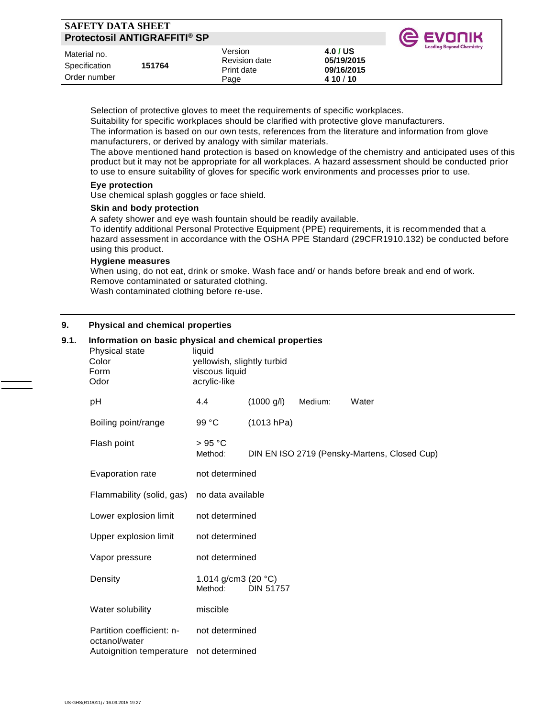| <b>SAFETY DATA SHEET</b>                      | Protectosil ANTIGRAFFITI® SP |                                                |                                                   | <b>IC EVONIK</b>                |
|-----------------------------------------------|------------------------------|------------------------------------------------|---------------------------------------------------|---------------------------------|
| Material no.<br>Specification<br>Order number | 151764                       | Version<br>Revision date<br>Print date<br>Page | 4.0 / US<br>05/19/2015<br>09/16/2015<br>4 10 / 10 | <b>Leading Beyond Chemistry</b> |

Selection of protective gloves to meet the requirements of specific workplaces.

Suitability for specific workplaces should be clarified with protective glove manufacturers.

The information is based on our own tests, references from the literature and information from glove manufacturers, or derived by analogy with similar materials.

The above mentioned hand protection is based on knowledge of the chemistry and anticipated uses of this product but it may not be appropriate for all workplaces. A hazard assessment should be conducted prior to use to ensure suitability of gloves for specific work environments and processes prior to use.

### **Eye protection**

Use chemical splash goggles or face shield.

### **Skin and body protection**

A safety shower and eye wash fountain should be readily available.

To identify additional Personal Protective Equipment (PPE) requirements, it is recommended that a hazard assessment in accordance with the OSHA PPE Standard (29CFR1910.132) be conducted before using this product.

### **Hygiene measures**

When using, do not eat, drink or smoke. Wash face and/ or hands before break and end of work. Remove contaminated or saturated clothing. Wash contaminated clothing before re-use.

# **9. Physical and chemical properties**

| 9.1. | Information on basic physical and chemical properties<br>Physical state<br>Color<br>Form<br>Odor | liquid<br>yellowish, slightly turbid<br>viscous liquid<br>acrylic-like |                      |         |                                              |  |
|------|--------------------------------------------------------------------------------------------------|------------------------------------------------------------------------|----------------------|---------|----------------------------------------------|--|
|      | рH                                                                                               | 4.4                                                                    | $(1000 \text{ g/l})$ | Medium: | Water                                        |  |
|      | Boiling point/range                                                                              | 99 °C                                                                  | (1013 hPa)           |         |                                              |  |
|      | Flash point                                                                                      | > 95 °C<br>Method:                                                     |                      |         | DIN EN ISO 2719 (Pensky-Martens, Closed Cup) |  |
|      | Evaporation rate                                                                                 | not determined                                                         |                      |         |                                              |  |
|      | Flammability (solid, gas)                                                                        | no data available                                                      |                      |         |                                              |  |
|      | Lower explosion limit                                                                            | not determined                                                         |                      |         |                                              |  |
|      | Upper explosion limit                                                                            | not determined                                                         |                      |         |                                              |  |
|      | Vapor pressure                                                                                   | not determined                                                         |                      |         |                                              |  |
|      | Density                                                                                          | 1.014 g/cm3 (20 °C)<br>Method:                                         | <b>DIN 51757</b>     |         |                                              |  |
|      | Water solubility                                                                                 | miscible                                                               |                      |         |                                              |  |
|      | Partition coefficient: n-<br>octanol/water                                                       | not determined                                                         |                      |         |                                              |  |
|      | Autoignition temperature                                                                         | not determined                                                         |                      |         |                                              |  |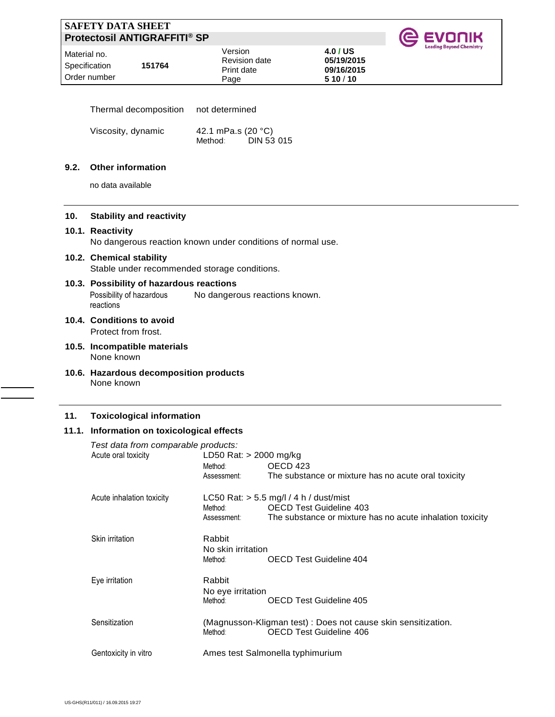| ' SAFETY DATA SHEET<br><b>Protectosil ANTIGRAFFITI® SP</b> |        |                                                       |                                                | <b>IC EVONIK</b>                |
|------------------------------------------------------------|--------|-------------------------------------------------------|------------------------------------------------|---------------------------------|
| Material no.<br>Specification<br>Order number              | 151764 | Version<br><b>Revision date</b><br>Print date<br>Page | 4.0 / US<br>05/19/2015<br>09/16/2015<br>510/10 | <b>Leading Beyond Chemistry</b> |

| Thermal decomposition | not determined     |
|-----------------------|--------------------|
| Viscosity, dynamic    | 42.1 mPa.s (20 °C) |

| osity, uyhanno | 42.1 IIIF $a.5(20)$ |                   |
|----------------|---------------------|-------------------|
|                | Method:             | <b>DIN 53 015</b> |
|                |                     |                   |

### **9.2. Other information**

no data available

### **10. Stability and reactivity**

#### **10.1. Reactivity**

No dangerous reaction known under conditions of normal use.

# **10.2. Chemical stability**

Stable under recommended storage conditions.

#### **10.3. Possibility of hazardous reactions** Possibility of hazardous **reactions** No dangerous reactions known.

- **10.4. Conditions to avoid** Protect from frost.
- **10.5. Incompatible materials** None known
- **10.6. Hazardous decomposition products** None known

### **11. Toxicological information**

# **11.1. Information on toxicological effects**

| Test data from comparable products:<br>Acute oral toxicity | LD50 Rat: > 2000 mg/kg |                                                               |
|------------------------------------------------------------|------------------------|---------------------------------------------------------------|
|                                                            | Method:                | OECD 423                                                      |
|                                                            | Assessment:            | The substance or mixture has no acute oral toxicity           |
| Acute inhalation toxicity                                  |                        | LC50 Rat: $>$ 5.5 mg/l / 4 h / dust/mist                      |
|                                                            | Method:                | <b>OECD Test Guideline 403</b>                                |
|                                                            | Assessment:            | The substance or mixture has no acute inhalation toxicity     |
| Skin irritation                                            | Rabbit                 |                                                               |
|                                                            | No skin irritation     |                                                               |
|                                                            | Method:                | OECD Test Guideline 404                                       |
| Eye irritation                                             | Rabbit                 |                                                               |
|                                                            | No eye irritation      |                                                               |
|                                                            | Method:                | <b>OECD Test Guideline 405</b>                                |
| Sensitization                                              |                        | (Magnusson-Kligman test) : Does not cause skin sensitization. |
|                                                            | Method:                | OECD Test Guideline 406                                       |
| Gentoxicity in vitro                                       |                        | Ames test Salmonella typhimurium                              |
|                                                            |                        |                                                               |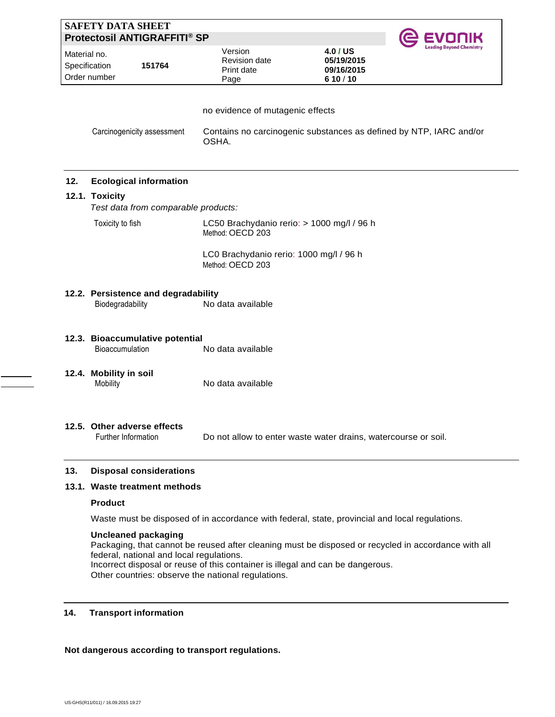|              | <b>SAFETY DATA SHEET</b>      | <b>Protectosil ANTIGRAFFITI® SP</b> |                                                                |                                                                    |  |
|--------------|-------------------------------|-------------------------------------|----------------------------------------------------------------|--------------------------------------------------------------------|--|
| Material no. | Specification<br>Order number | 151764                              | Version<br>Revision date<br>Print date<br>Page                 | 4.0 / US<br>05/19/2015<br>09/16/2015<br>610/10                     |  |
|              |                               |                                     | no evidence of mutagenic effects                               |                                                                    |  |
|              |                               | Carcinogenicity assessment          | OSHA.                                                          | Contains no carcinogenic substances as defined by NTP, IARC and/or |  |
| 12.          |                               | <b>Ecological information</b>       |                                                                |                                                                    |  |
|              | 12.1. Toxicity                |                                     |                                                                |                                                                    |  |
|              |                               | Test data from comparable products: |                                                                |                                                                    |  |
|              | Toxicity to fish              |                                     | LC50 Brachydanio rerio: > 1000 mg/l / 96 h<br>Method: OECD 203 |                                                                    |  |
|              |                               |                                     | LC0 Brachydanio rerio: 1000 mg/l / 96 h                        |                                                                    |  |
|              |                               |                                     | Method: OECD 203                                               |                                                                    |  |
|              |                               | 12.2. Persistence and degradability |                                                                |                                                                    |  |
|              | Biodegradability              |                                     | No data available                                              |                                                                    |  |
|              |                               | 12.3. Bioaccumulative potential     |                                                                |                                                                    |  |
|              | Bioaccumulation               |                                     | No data available                                              |                                                                    |  |
|              | 12.4. Mobility in soil        |                                     |                                                                |                                                                    |  |
|              | Mobility                      |                                     | No data available                                              |                                                                    |  |
|              |                               |                                     |                                                                |                                                                    |  |
|              | Further Information           | 12.5. Other adverse effects         |                                                                | Do not allow to enter waste water drains, watercourse or soil.     |  |
| 13.          |                               | <b>Disposal considerations</b>      |                                                                |                                                                    |  |
|              |                               | 13.1. Waste treatment methods       |                                                                |                                                                    |  |
|              | <b>Product</b>                |                                     |                                                                |                                                                    |  |

Waste must be disposed of in accordance with federal, state, provincial and local regulations.

### **Uncleaned packaging**

Packaging, that cannot be reused after cleaning must be disposed or recycled in accordance with all federal, national and local regulations. Incorrect disposal or reuse of this container is illegal and can be dangerous. Other countries: observe the national regulations.

# **14. Transport information**

# **Not dangerous according to transport regulations.**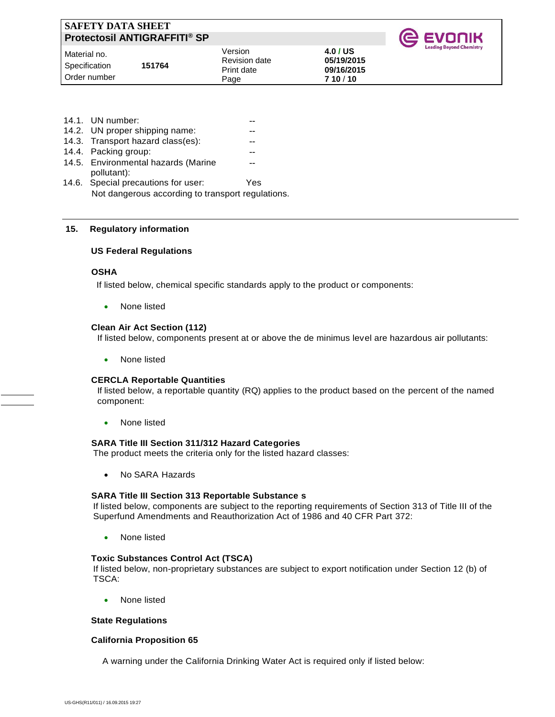| <b>SAFETY DATA SHEET</b><br><b>Protectosil ANTIGRAFFITI® SP</b> |        |                                                       |                                                | <b>@ EVONIK</b>                 |
|-----------------------------------------------------------------|--------|-------------------------------------------------------|------------------------------------------------|---------------------------------|
| Material no.<br>Specification<br>Order number                   | 151764 | Version<br><b>Revision date</b><br>Print date<br>Page | 4.0 / US<br>05/19/2015<br>09/16/2015<br>710/10 | <b>Leading Beyond Chemistry</b> |

| 14.1. UN number:                                  |     |
|---------------------------------------------------|-----|
| 14.2. UN proper shipping name:                    |     |
| 14.3. Transport hazard class(es):                 |     |
| 14.4. Packing group:                              |     |
| 14.5. Environmental hazards (Marine               |     |
| pollutant):                                       |     |
| 14.6. Special precautions for user:               | Yes |
| Not dangerous according to transport regulations. |     |
|                                                   |     |

#### **15. Regulatory information**

#### **US Federal Regulations**

#### **OSHA**

If listed below, chemical specific standards apply to the product or components:

• None listed

#### **Clean Air Act Section (112)**

If listed below, components present at or above the de minimus level are hazardous air pollutants:

• None listed

#### **CERCLA Reportable Quantities**

If listed below, a reportable quantity (RQ) applies to the product based on the percent of the named component:

• None listed

### **SARA Title III Section 311/312 Hazard Categories**

The product meets the criteria only for the listed hazard classes:

• No SARA Hazards

#### **SARA Title III Section 313 Reportable Substance s**

If listed below, components are subject to the reporting requirements of Section 313 of Title III of the Superfund Amendments and Reauthorization Act of 1986 and 40 CFR Part 372:

• None listed

#### **Toxic Substances Control Act (TSCA)**

If listed below, non-proprietary substances are subject to export notification under Section 12 (b) of TSCA:

• None listed

#### **State Regulations**

#### **California Proposition 65**

A warning under the California Drinking Water Act is required only if listed below: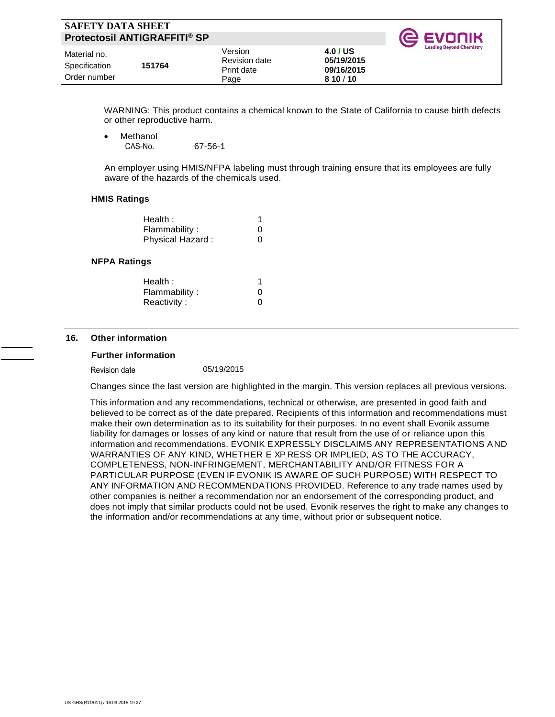| SAFETY DATA SHEET <br><b>Protectosil ANTIGRAFFITI® SP</b> |        |                                                |                                                | <b>C</b> EVONIK                 |
|-----------------------------------------------------------|--------|------------------------------------------------|------------------------------------------------|---------------------------------|
| l Material no.<br>  Specification<br>l Order number       | 151764 | Version<br>Revision date<br>Print date<br>Page | 4.0 / US<br>05/19/2015<br>09/16/2015<br>810/10 | <b>Leading Beyond Chemistry</b> |

WARNING: This product contains a chemical known to the State of California to cause birth defects or other reproductive harm.

**Methanol** CAS-No. 67-56-1

 An employer using HMIS/NFPA labeling must through training ensure that its employees are fully aware of the hazards of the chemicals used.

#### **HMIS Ratings**

| Health:          |   |
|------------------|---|
| Flammability:    | 0 |
| Physical Hazard: | 0 |

#### **NFPA Ratings**

| 0 |
|---|
| 0 |
|   |

#### **16. Other information**

#### **Further information**

Revision date 05/19/2015

Changes since the last version are highlighted in the margin. This version replaces all previous versions.

This information and any recommendations, technical or otherwise, are presented in good faith and believed to be correct as of the date prepared. Recipients of this information and recommendations must make their own determination as to its suitability for their purposes. In no event shall Evonik assume liability for damages or losses of any kind or nature that result from the use of or reliance upon this information and recommendations. EVONIK EXPRESSLY DISCLAIMS ANY REPRESENTATIONS AND WARRANTIES OF ANY KIND, WHETHER E XP RESS OR IMPLIED, AS TO THE ACCURACY, COMPLETENESS, NON-INFRINGEMENT, MERCHANTABILITY AND/OR FITNESS FOR A PARTICULAR PURPOSE (EVEN IF EVONIK IS AWARE OF SUCH PURPOSE) WITH RESPECT TO ANY INFORMATION AND RECOMMENDATIONS PROVIDED. Reference to any trade names used by other companies is neither a recommendation nor an endorsement of the corresponding product, and does not imply that similar products could not be used. Evonik reserves the right to make any changes to the information and/or recommendations at any time, without prior or subsequent notice.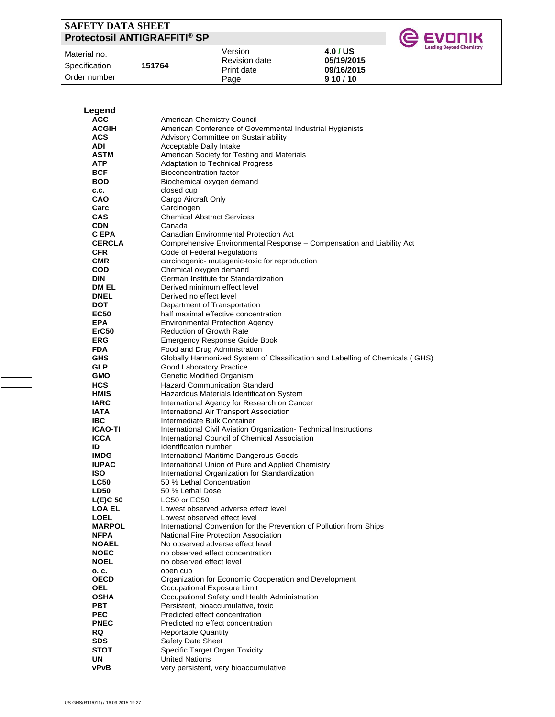| SAFETY DATA SHEET<br><b>Protectosil ANTIGRAFFITI® SP</b> |                      |            | <b>IC EVONIK</b>                |
|----------------------------------------------------------|----------------------|------------|---------------------------------|
| Material no.                                             | Version              | 4.0 / US   | <b>Leading Beyond Chemistry</b> |
| 151764                                                   | <b>Revision date</b> | 05/19/2015 |                                 |
| Specification                                            | Print date           | 09/16/2015 |                                 |
| Order number                                             | Page                 | 910/10     |                                 |

| Legend<br><b>ACC</b>       | American Chemistry Council                                                                          |
|----------------------------|-----------------------------------------------------------------------------------------------------|
|                            |                                                                                                     |
|                            |                                                                                                     |
| <b>ACGIH</b>               | American Conference of Governmental Industrial Hygienists                                           |
| <b>ACS</b>                 | Advisory Committee on Sustainability                                                                |
| ADI                        | Acceptable Daily Intake                                                                             |
| ASTM                       | American Society for Testing and Materials                                                          |
| <b>ATP</b>                 | <b>Adaptation to Technical Progress</b>                                                             |
| <b>BCF</b><br><b>BOD</b>   | <b>Bioconcentration factor</b><br>Biochemical oxygen demand                                         |
| C.C.                       | closed cup                                                                                          |
| CAO                        | Cargo Aircraft Only                                                                                 |
| Carc                       | Carcinogen                                                                                          |
| <b>CAS</b>                 | <b>Chemical Abstract Services</b>                                                                   |
| <b>CDN</b>                 | Canada                                                                                              |
| C EPA                      | <b>Canadian Environmental Protection Act</b>                                                        |
| <b>CERCLA</b>              | Comprehensive Environmental Response - Compensation and Liability Act                               |
| <b>CFR</b>                 | Code of Federal Regulations                                                                         |
| <b>CMR</b>                 | carcinogenic- mutagenic-toxic for reproduction                                                      |
| <b>COD</b>                 | Chemical oxygen demand                                                                              |
| <b>DIN</b>                 | German Institute for Standardization                                                                |
| DM EL                      | Derived minimum effect level                                                                        |
| <b>DNEL</b>                | Derived no effect level                                                                             |
| <b>DOT</b>                 | Department of Transportation                                                                        |
| <b>EC50</b>                | half maximal effective concentration                                                                |
| <b>EPA</b><br>ErC50        | <b>Environmental Protection Agency</b><br><b>Reduction of Growth Rate</b>                           |
| <b>ERG</b>                 | <b>Emergency Response Guide Book</b>                                                                |
| <b>FDA</b>                 | Food and Drug Administration                                                                        |
| <b>GHS</b>                 | Globally Harmonized System of Classification and Labelling of Chemicals (GHS)                       |
| <b>GLP</b>                 | Good Laboratory Practice                                                                            |
| <b>GMO</b>                 | <b>Genetic Modified Organism</b>                                                                    |
| <b>HCS</b>                 | <b>Hazard Communication Standard</b>                                                                |
| <b>HMIS</b>                | Hazardous Materials Identification System                                                           |
| <b>IARC</b>                | International Agency for Research on Cancer                                                         |
| <b>IATA</b>                | International Air Transport Association                                                             |
| <b>IBC</b>                 | Intermediate Bulk Container                                                                         |
| <b>ICAO-TI</b>             | International Civil Aviation Organization-Technical Instructions                                    |
| <b>ICCA</b>                | International Council of Chemical Association                                                       |
| ID                         | Identification number                                                                               |
| <b>IMDG</b>                | International Maritime Dangerous Goods                                                              |
| <b>IUPAC</b><br><b>ISO</b> | International Union of Pure and Applied Chemistry<br>International Organization for Standardization |
| <b>LC50</b>                | 50 % Lethal Concentration                                                                           |
| <b>LD50</b>                | 50 % Lethal Dose                                                                                    |
| $L(E)C$ 50                 | LC50 or EC50                                                                                        |
| LOA EL                     | Lowest observed adverse effect level                                                                |
| <b>LOEL</b>                | Lowest observed effect level                                                                        |
| <b>MARPOL</b>              | International Convention for the Prevention of Pollution from Ships                                 |
| <b>NFPA</b>                | National Fire Protection Association                                                                |
| <b>NOAEL</b>               | No observed adverse effect level                                                                    |
| <b>NOEC</b>                | no observed effect concentration                                                                    |
| <b>NOEL</b>                | no observed effect level                                                                            |
| o. c.                      | open cup                                                                                            |
| <b>OECD</b>                | Organization for Economic Cooperation and Development                                               |
| OEL<br><b>OSHA</b>         | Occupational Exposure Limit<br>Occupational Safety and Health Administration                        |
| <b>PBT</b>                 | Persistent, bioaccumulative, toxic                                                                  |
| <b>PEC</b>                 | Predicted effect concentration                                                                      |
| <b>PNEC</b>                | Predicted no effect concentration                                                                   |
| <b>RQ</b>                  | <b>Reportable Quantity</b>                                                                          |
| <b>SDS</b>                 | <b>Safety Data Sheet</b>                                                                            |
| <b>STOT</b>                | Specific Target Organ Toxicity                                                                      |
| UN                         | <b>United Nations</b>                                                                               |
| vPvB                       | very persistent, very bioaccumulative                                                               |